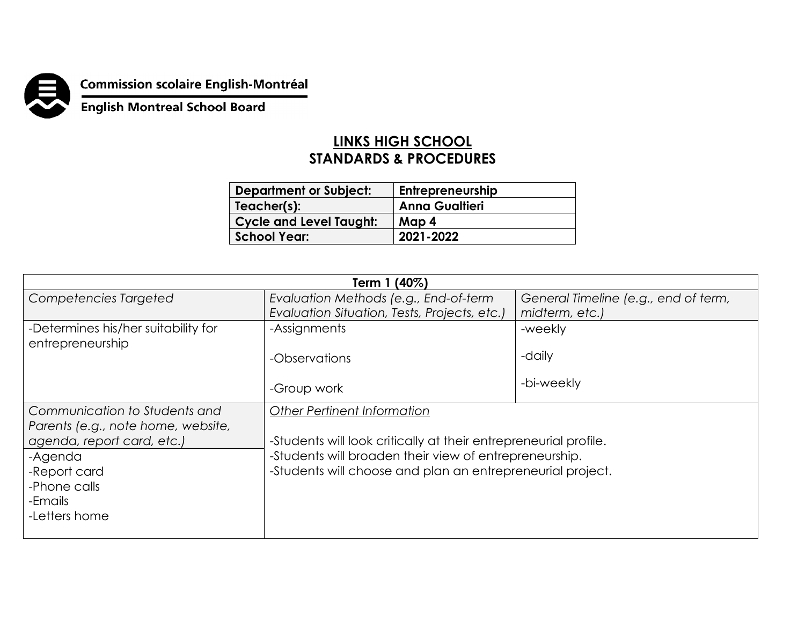

**Commission scolaire English-Montréal<br>English Montreal School Board** 

## **LINKS HIGH SCHOOL STANDARDS & PROCEDURES**

| <b>Department or Subject:</b>  | Entrepreneurship      |
|--------------------------------|-----------------------|
| Teacher(s):                    | <b>Anna Gualtieri</b> |
| <b>Cycle and Level Taught:</b> | Map 4                 |
| School Year:                   | 2021-2022             |

| Term 1 (40%)                        |                                                                                       |                                                        |  |  |
|-------------------------------------|---------------------------------------------------------------------------------------|--------------------------------------------------------|--|--|
| Competencies Targeted               | Evaluation Methods (e.g., End-of-term<br>Evaluation Situation, Tests, Projects, etc.) | General Timeline (e.g., end of term,<br>midterm, etc.) |  |  |
| -Determines his/her suitability for | -Assignments                                                                          | -weekly                                                |  |  |
| entrepreneurship                    |                                                                                       | -daily                                                 |  |  |
|                                     | -Observations                                                                         |                                                        |  |  |
|                                     | -Group work                                                                           | -bi-weekly                                             |  |  |
| Communication to Students and       | <b>Other Pertinent Information</b>                                                    |                                                        |  |  |
| Parents (e.g., note home, website,  |                                                                                       |                                                        |  |  |
| agenda, report card, etc.)          | -Students will look critically at their entrepreneurial profile.                      |                                                        |  |  |
| -Agenda                             | -Students will broaden their view of entrepreneurship.                                |                                                        |  |  |
| -Report card                        | -Students will choose and plan an entrepreneurial project.                            |                                                        |  |  |
| -Phone calls                        |                                                                                       |                                                        |  |  |
| -Emails                             |                                                                                       |                                                        |  |  |
| -Letters home                       |                                                                                       |                                                        |  |  |